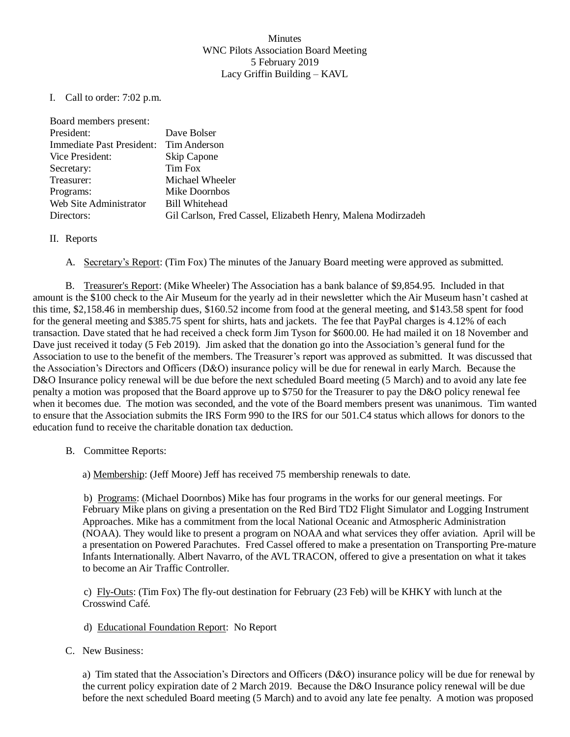## Minutes WNC Pilots Association Board Meeting 5 February 2019 Lacy Griffin Building – KAVL

I. Call to order: 7:02 p.m.

| Board members present:    |                                                              |
|---------------------------|--------------------------------------------------------------|
| President:                | Dave Bolser                                                  |
| Immediate Past President: | Tim Anderson                                                 |
| Vice President:           | Skip Capone                                                  |
| Secretary:                | Tim Fox                                                      |
| Treasurer:                | Michael Wheeler                                              |
| Programs:                 | Mike Doornbos                                                |
| Web Site Administrator    | <b>Bill Whitehead</b>                                        |
| Directors:                | Gil Carlson, Fred Cassel, Elizabeth Henry, Malena Modirzadeh |

II. Reports

A. Secretary's Report: (Tim Fox) The minutes of the January Board meeting were approved as submitted.

B. Treasurer's Report: (Mike Wheeler) The Association has a bank balance of \$9,854.95. Included in that amount is the \$100 check to the Air Museum for the yearly ad in their newsletter which the Air Museum hasn't cashed at this time, \$2,158.46 in membership dues, \$160.52 income from food at the general meeting, and \$143.58 spent for food for the general meeting and \$385.75 spent for shirts, hats and jackets. The fee that PayPal charges is 4.12% of each transaction. Dave stated that he had received a check form Jim Tyson for \$600.00. He had mailed it on 18 November and Dave just received it today (5 Feb 2019). Jim asked that the donation go into the Association's general fund for the Association to use to the benefit of the members. The Treasurer's report was approved as submitted. It was discussed that the Association's Directors and Officers (D&O) insurance policy will be due for renewal in early March. Because the D&O Insurance policy renewal will be due before the next scheduled Board meeting (5 March) and to avoid any late fee penalty a motion was proposed that the Board approve up to \$750 for the Treasurer to pay the D&O policy renewal fee when it becomes due. The motion was seconded, and the vote of the Board members present was unanimous. Tim wanted to ensure that the Association submits the IRS Form 990 to the IRS for our 501.C4 status which allows for donors to the education fund to receive the charitable donation tax deduction.

B. Committee Reports:

a) Membership: (Jeff Moore) Jeff has received 75 membership renewals to date.

b) Programs: (Michael Doornbos) Mike has four programs in the works for our general meetings. For February Mike plans on giving a presentation on the Red Bird TD2 Flight Simulator and Logging Instrument Approaches. Mike has a commitment from the local National Oceanic and Atmospheric Administration (NOAA). They would like to present a program on NOAA and what services they offer aviation. April will be a presentation on Powered Parachutes. Fred Cassel offered to make a presentation on Transporting Pre-mature Infants Internationally. Albert Navarro, of the AVL TRACON, offered to give a presentation on what it takes to become an Air Traffic Controller.

c) Fly-Outs: (Tim Fox) The fly-out destination for February (23 Feb) will be KHKY with lunch at the Crosswind Café.

- d) Educational Foundation Report: No Report
- C. New Business:

a) Tim stated that the Association's Directors and Officers (D&O) insurance policy will be due for renewal by the current policy expiration date of 2 March 2019. Because the D&O Insurance policy renewal will be due before the next scheduled Board meeting (5 March) and to avoid any late fee penalty. A motion was proposed